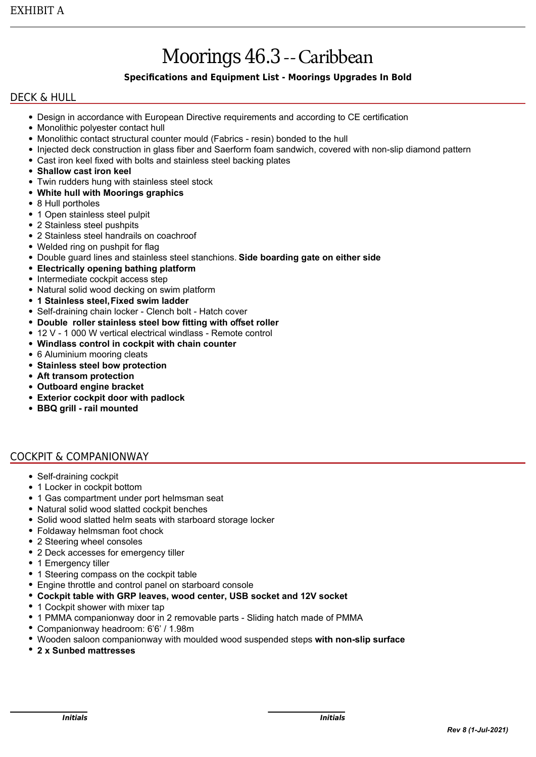# Moorings 46.3--Caribbean

# **Specifications and Equipment List - Moorings Upgrades In Bold**

## DECK & HULL

- Design in accordance with European Directive requirements and according to CE certification
- Monolithic polyester contact hull
- Monolithic contact structural counter mould (Fabrics resin) bonded to the hull
- Injected deck construction in glass fiber and Saerform foam sandwich, covered with non-slip diamond pattern
- Cast iron keel fixed with bolts and stainless steel backing plates
- **Shallow cast iron keel**
- Twin rudders hung with stainless steel stock
- **White hull with Moorings graphics**
- 8 Hull portholes
- 1 Open stainless steel pulpit
- 2 Stainless steel pushpits
- 2 Stainless steel handrails on coachroof
- Welded ring on pushpit for flag
- Double guard lines and stainless steel stanchions. **Side boarding gate on either side**
- **Electrically opening bathing platform**
- Intermediate cockpit access step
- Natural solid wood decking on swim platform
- **1 Stainless steel, Fixed swim ladder**
- Self-draining chain locker Clench bolt Hatch cover
- **Double roller stainless steel bow fitting with o**ff**set roller**
- 12 V 1 000 W vertical electrical windlass Remote control
- **Windlass control in cockpit with chain counter**
- 6 Aluminium mooring cleats
- **Stainless steel bow protection**
- **Aft transom protection**
- **Outboard engine bracket**
- **Exterior cockpit door with padlock**
- **BBQ grill rail mounted**

## COCKPIT & COMPANIONWAY

- Self-draining cockpit
- 1 Locker in cockpit bottom
- 1 Gas compartment under port helmsman seat
- Natural solid wood slatted cockpit benches
- Solid wood slatted helm seats with starboard storage locker
- Foldaway helmsman foot chock
- 2 Steering wheel consoles
- 2 Deck accesses for emergency tiller
- 1 Emergency tiller
- 1 Steering compass on the cockpit table
- Engine throttle and control panel on starboard console
- **Cockpit table with GRP leaves, wood center, USB socket and 12V socket**
- 1 Cockpit shower with mixer tap
- 1 PMMA companionway door in 2 removable parts Sliding hatch made of PMMA
- Companionway headroom: 6'6' / 1.98m
- Wooden saloon companionway with moulded wood suspended steps **with non-slip surface**
- **2 x Sunbed mattresses**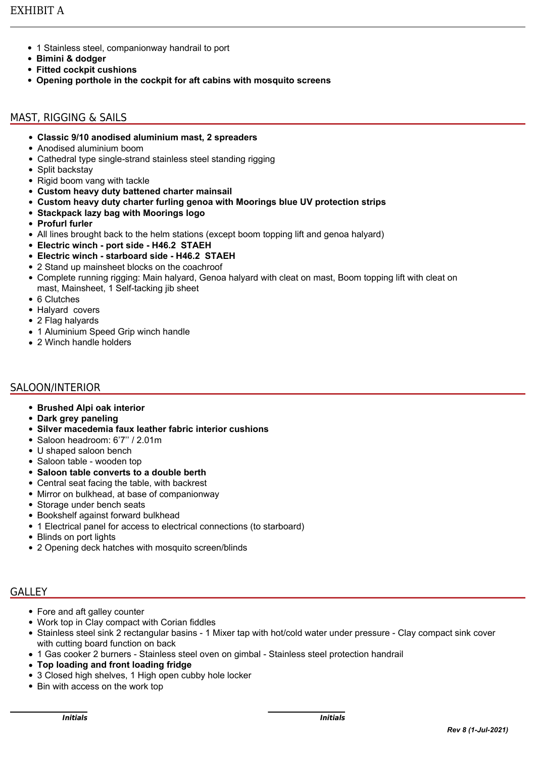- 1 Stainless steel, companionway handrail to port
- **Bimini & dodger**
- **Fitted cockpit cushions**
- **Opening porthole in the cockpit for aft cabins with mosquito screens**

# MAST, RIGGING & SAILS

- **Classic 9/10 anodised aluminium mast, 2 spreaders**
- Anodised aluminium boom
- Cathedral type single-strand stainless steel standing rigging
- Split backstay
- Rigid boom vang with tackle
- **Custom heavy duty battened charter mainsail**
- **Custom heavy duty charter furling genoa with Moorings blue UV protection strips**
- **Stackpack lazy bag with Moorings logo**
- **Profurl furler**
- All lines brought back to the helm stations (except boom topping lift and genoa halyard)
- **Electric winch port side H46.2 STAEH**
- **Electric winch starboard side H46.2 STAEH**
- 2 Stand up mainsheet blocks on the coachroof
- Complete running rigging: Main halyard, Genoa halyard with cleat on mast, Boom topping lift with cleat on mast, Mainsheet, 1 Self-tacking jib sheet
- 6 Clutches
- Halyard covers
- 2 Flag halyards
- 1 Aluminium Speed Grip winch handle
- 2 Winch handle holders

# SALOON/INTERIOR

- **Brushed Alpi oak interior**
- **Dark grey paneling**
- **Silver macedemia faux leather fabric interior cushions**
- Saloon headroom: 6'7'' / 2.01m
- U shaped saloon bench
- Saloon table wooden top
- **Saloon table converts to a double berth**
- Central seat facing the table, with backrest
- Mirror on bulkhead, at base of companionway
- Storage under bench seats
- Bookshelf against forward bulkhead
- 1 Electrical panel for access to electrical connections (to starboard)
- Blinds on port lights
- 2 Opening deck hatches with mosquito screen/blinds

# GALLEY

- Fore and aft galley counter
- Work top in Clay compact with Corian fiddles
- Stainless steel sink 2 rectangular basins 1 Mixer tap with hot/cold water under pressure Clay compact sink cover with cutting board function on back
- 1 Gas cooker 2 burners Stainless steel oven on gimbal Stainless steel protection handrail
- **Top loading and front loading fridge**
- 3 Closed high shelves, 1 High open cubby hole locker
- Bin with access on the work top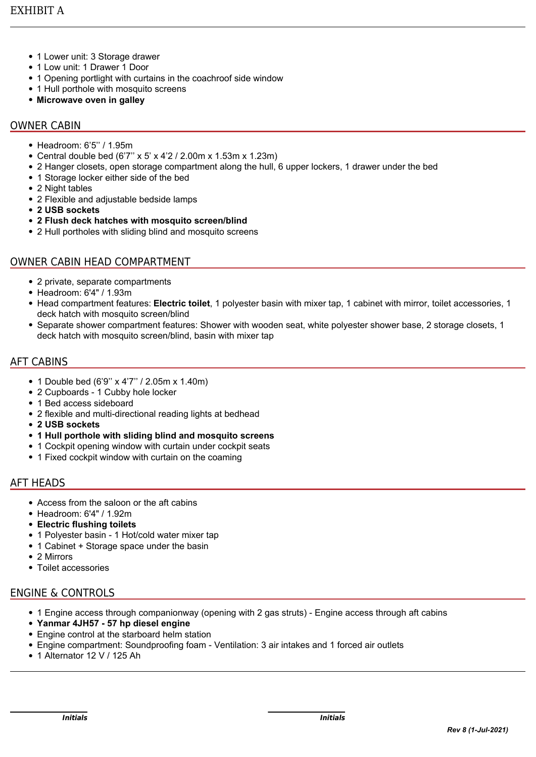- 1 Lower unit: 3 Storage drawer
- 1 Low unit: 1 Drawer 1 Door
- 1 Opening portlight with curtains in the coachroof side window
- 1 Hull porthole with mosquito screens
- **Microwave oven in galley**

# OWNER CABIN

- Headroom: 6'5'' / 1.95m
- Central double bed (6'7'' x 5' x 4'2 / 2.00m x 1.53m x 1.23m)
- 2 Hanger closets, open storage compartment along the hull, 6 upper lockers, 1 drawer under the bed
- 1 Storage locker either side of the bed
- 2 Night tables
- 2 Flexible and adjustable bedside lamps
- **2 USB sockets**
- **2 Flush deck hatches with mosquito screen/blind**
- 2 Hull portholes with sliding blind and mosquito screens

# OWNER CABIN HEAD COMPARTMENT

- 2 private, separate compartments
- Headroom: 6'4" / 1.93m
- Head compartment features: **Electric toilet**, 1 polyester basin with mixer tap, 1 cabinet with mirror, toilet accessories, 1 deck hatch with mosquito screen/blind
- Separate shower compartment features: Shower with wooden seat, white polyester shower base, 2 storage closets, 1 deck hatch with mosquito screen/blind, basin with mixer tap

## AFT CABINS

- 1 Double bed (6'9'' x 4'7'' / 2.05m x 1.40m)
- 2 Cupboards 1 Cubby hole locker
- 1 Bed access sideboard
- 2 flexible and multi-directional reading lights at bedhead
- **2 USB sockets**
- **1 Hull porthole with sliding blind and mosquito screens**
- 1 Cockpit opening window with curtain under cockpit seats
- 1 Fixed cockpit window with curtain on the coaming

## AFT HEADS

- Access from the saloon or the aft cabins
- Headroom: 6'4" / 1.92m
- **Electric flushing toilets**
- 1 Polyester basin 1 Hot/cold water mixer tap
- 1 Cabinet + Storage space under the basin
- 2 Mirrors
- Toilet accessories

# ENGINE & CONTROLS

- 1 Engine access through companionway (opening with 2 gas struts) Engine access through aft cabins
- **Yanmar 4JH57 57 hp diesel engine**
- Engine control at the starboard helm station
- Engine compartment: Soundproofing foam Ventilation: 3 air intakes and 1 forced air outlets
- 1 Alternator 12 V / 125 Ah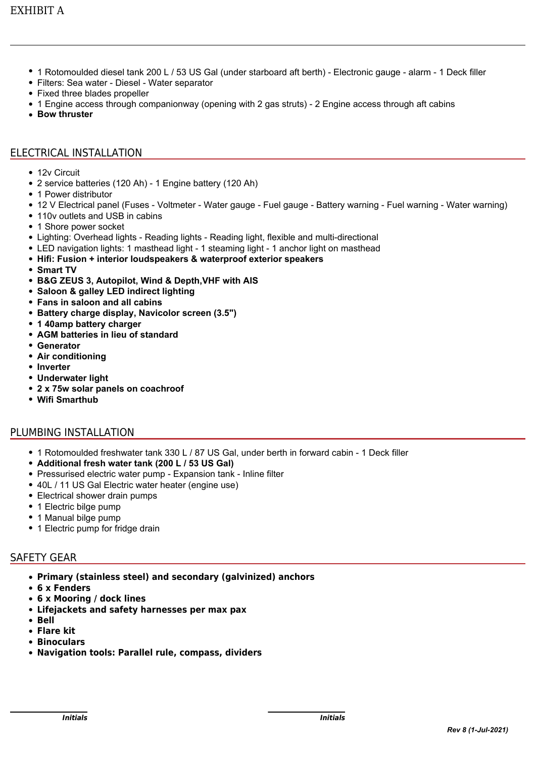- 1 Rotomoulded diesel tank 200 L / 53 US Gal (under starboard aft berth) Electronic gauge alarm 1 Deck filler
- Filters: Sea water Diesel Water separator
- Fixed three blades propeller
- 1 Engine access through companionway (opening with 2 gas struts) 2 Engine access through aft cabins
- **Bow thruster**

### ELECTRICAL INSTALLATION

- 12v Circuit
- 2 service batteries (120 Ah) 1 Engine battery (120 Ah)
- 1 Power distributor
- 12 V Electrical panel (Fuses Voltmeter Water gauge Fuel gauge Battery warning Fuel warning Water warning)
- 110v outlets and USB in cabins
- 1 Shore power socket
- Lighting: Overhead lights Reading lights Reading light, flexible and multi-directional
- LED navigation lights: 1 masthead light 1 steaming light 1 anchor light on masthead
- **Hifi: Fusion + interior loudspeakers & waterproof exterior speakers**
- **Smart TV**
- **B&G ZEUS 3, Autopilot, Wind & Depth,VHF with AIS**
- **Saloon & galley LED indirect lighting**
- **Fans in saloon and all cabins**
- **Battery charge display, Navicolor screen (3.5")**
- **1 40amp battery charger**
- **AGM batteries in lieu of standard**
- **Generator**
- **Air conditioning**
- **Inverter**
- **Underwater light**
- **2 x 75w solar panels on coachroof**
- **Wifi Smarthub**

#### PLUMBING INSTALLATION

- 1 Rotomoulded freshwater tank 330 L / 87 US Gal, under berth in forward cabin 1 Deck filler
- **Additional fresh water tank (200 L / 53 US Gal)**
- Pressurised electric water pump Expansion tank Inline filter
- 40L / 11 US Gal Electric water heater (engine use)
- Electrical shower drain pumps
- 1 Electric bilge pump
- 1 Manual bilge pump
- 1 Electric pump for fridge drain

## SAFETY GEAR

- **Primary (stainless steel) and secondary (galvinized) anchors**
- **6 x Fenders**
- **6 x Mooring / dock lines**
- **Lifejackets and safety harnesses per max pax**
- **Bell**
- **Flare kit**
- **Binoculars**
- **Navigation tools: Parallel rule, compass, dividers**